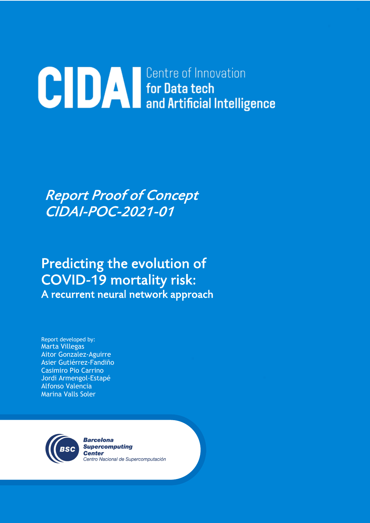# **CIDA For Data tech**<br>and Artificial Intelligence

# Report Proof of Concept CIDAI-POC-2021-01

# Predicting the evolution of COVID-19 mortality risk: A recurrent neural network approach

Report developed by: Marta Villegas Aitor Gonzalez-Aguirre Asier Gutiérrez-Fandiño Casimiro Pio Carrino Jordi Armengol-Estapé Alfonso Valencia Marina Valls Soler



**Barcelona Supercomputing Center** Centro Nacional de Supercomputación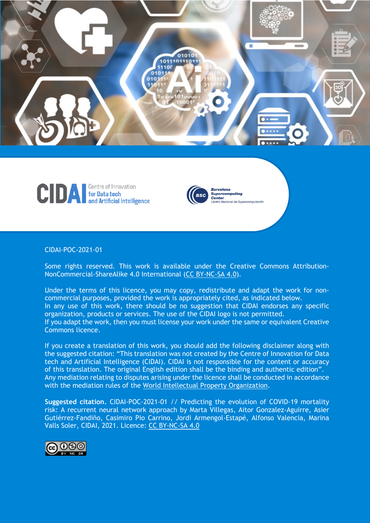





#### CIDAI-POC-2021-01

Some rights reserved. This work is available under the Creative Commons Attribution-NonCommercial-ShareAlike 4.0 International (CC BY-NC-SA 4.0).

Under the terms of this licence, you may copy, redistribute and adapt the work for noncommercial purposes, provided the work is appropriately cited, as indicated below. In any use of this work, there should be no suggestion that CIDAI endorses any specific organization, products or services. The use of the CIDAI logo is not permitted. If you adapt the work, then you must license your work under the same or equivalent Creative Commons licence.

If you create a translation of this work, you should add the following disclaimer along with the suggested citation: "This translation was not created by the Centre of Innovation for Data tech and Artificial Intelligence (CIDAI). CIDAI is not responsible for the content or accuracy of this translation. The original English edition shall be the binding and authentic edition". Any mediation relating to disputes arising under the licence shall be conducted in accordance with the mediation rules of the World Intellectual Property Organization.

**Suggested citation.** CIDAI-POC-2021-01 // Predicting the evolution of COVID-19 mortality risk: A recurrent neural network approach by Marta Villegas, Aitor Gonzalez-Aguirre, Asier Gutiérrez-Fandiño, Casimiro Pio Carrino, Jordi Armengol-Estapé, Alfonso Valencia, Marina Valls Soler, CIDAI, 2021. Licence: CC BY-NC-SA 4.0

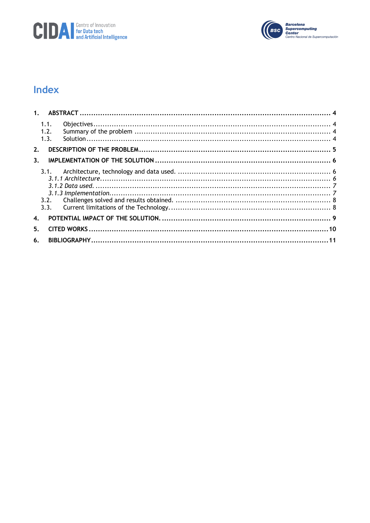



# Index

| 1.                 |                      |  |
|--------------------|----------------------|--|
|                    | 1.1.<br>1.2.<br>1.3. |  |
| 2.                 |                      |  |
| 3 <sub>1</sub>     |                      |  |
|                    | 3.1.                 |  |
|                    |                      |  |
|                    |                      |  |
| $\boldsymbol{4}$ . |                      |  |
| 5.                 |                      |  |
| 6.                 |                      |  |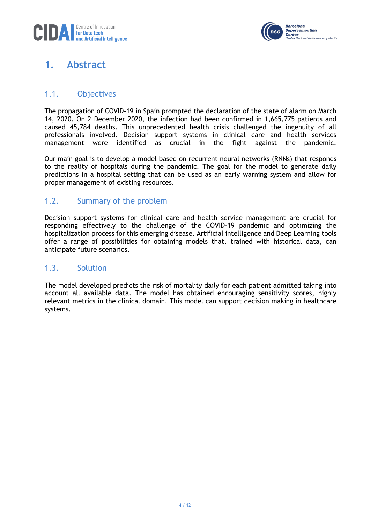

## **1. Abstract**

#### 1.1. Objectives

The propagation of COVID-19 in Spain prompted the declaration of the state of alarm on March 14, 2020. On 2 December 2020, the infection had been confirmed in 1,665,775 patients and caused 45,784 deaths. This unprecedented health crisis challenged the ingenuity of all professionals involved. Decision support systems in clinical care and health services management were identified as crucial in the fight against the pandemic.

Our main goal is to develop a model based on recurrent neural networks (RNNs) that responds to the reality of hospitals during the pandemic. The goal for the model to generate daily predictions in a hospital setting that can be used as an early warning system and allow for proper management of existing resources.

#### 1.2. Summary of the problem

Decision support systems for clinical care and health service management are crucial for responding effectively to the challenge of the COVID-19 pandemic and optimizing the hospitalization process for this emerging disease. Artificial intelligence and Deep Learning tools offer a range of possibilities for obtaining models that, trained with historical data, can anticipate future scenarios.

#### 1.3. Solution

The model developed predicts the risk of mortality daily for each patient admitted taking into account all available data. The model has obtained encouraging sensitivity scores, highly relevant metrics in the clinical domain. This model can support decision making in healthcare systems.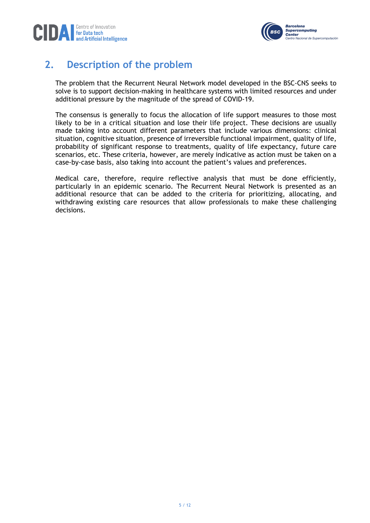



# **2. Description of the problem**

The problem that the Recurrent Neural Network model developed in the BSC-CNS seeks to solve is to support decision-making in healthcare systems with limited resources and under additional pressure by the magnitude of the spread of COVID-19.

The consensus is generally to focus the allocation of life support measures to those most likely to be in a critical situation and lose their life project. These decisions are usually made taking into account different parameters that include various dimensions: clinical situation, cognitive situation, presence of irreversible functional impairment, quality of life, probability of significant response to treatments, quality of life expectancy, future care scenarios, etc. These criteria, however, are merely indicative as action must be taken on a case-by-case basis, also taking into account the patient's values and preferences.

Medical care, therefore, require reflective analysis that must be done efficiently, particularly in an epidemic scenario. The Recurrent Neural Network is presented as an additional resource that can be added to the criteria for prioritizing, allocating, and withdrawing existing care resources that allow professionals to make these challenging decisions.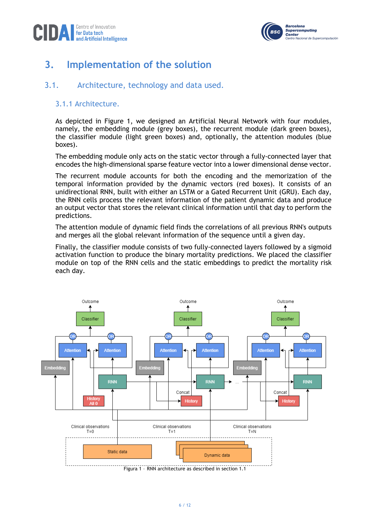



# **3. Implementation of the solution**

#### 3.1. Architecture, technology and data used.

#### 3.1.1 Architecture.

As depicted in Figure 1, we designed an Artificial Neural Network with four modules, namely, the embedding module (grey boxes), the recurrent module (dark green boxes), the classifier module (light green boxes) and, optionally, the attention modules (blue boxes).

The embedding module only acts on the static vector through a fully-connected layer that encodes the high-dimensional sparse feature vector into a lower dimensional dense vector.

The recurrent module accounts for both the encoding and the memorization of the temporal information provided by the dynamic vectors (red boxes). It consists of an unidirectional RNN, built with either an LSTM or a Gated Recurrent Unit (GRU). Each day, the RNN cells process the relevant information of the patient dynamic data and produce an output vector that stores the relevant clinical information until that day to perform the predictions.

The attention module of dynamic field finds the correlations of all previous RNN's outputs and merges all the global relevant information of the sequence until a given day.

Finally, the classifier module consists of two fully-connected layers followed by a sigmoid activation function to produce the binary mortality predictions. We placed the classifier module on top of the RNN cells and the static embeddings to predict the mortality risk each day.



Figura 1 – RNN architecture as described in section 1.1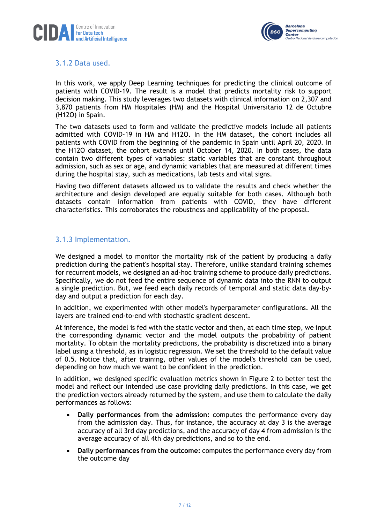



#### 3.1.2 Data used.

In this work, we apply Deep Learning techniques for predicting the clinical outcome of patients with COVID-19. The result is a model that predicts mortality risk to support decision making. This study leverages two datasets with clinical information on 2,307 and 3,870 patients from HM Hospitales (HM) and the Hospital Universitario 12 de Octubre (H12O) in Spain.

The two datasets used to form and validate the predictive models include all patients admitted with COVID-19 in HM and H12O. In the HM dataset, the cohort includes all patients with COVID from the beginning of the pandemic in Spain until April 20, 2020. In the H12O dataset, the cohort extends until October 14, 2020. In both cases, the data contain two different types of variables: static variables that are constant throughout admission, such as sex or age, and dynamic variables that are measured at different times during the hospital stay, such as medications, lab tests and vital signs.

Having two different datasets allowed us to validate the results and check whether the architecture and design developed are equally suitable for both cases. Although both datasets contain information from patients with COVID, they have different characteristics. This corroborates the robustness and applicability of the proposal.

#### 3.1.3 Implementation.

We designed a model to monitor the mortality risk of the patient by producing a daily prediction during the patient's hospital stay. Therefore, unlike standard training schemes for recurrent models, we designed an ad-hoc training scheme to produce daily predictions. Specifically, we do not feed the entire sequence of dynamic data into the RNN to output a single prediction. But, we feed each daily records of temporal and static data day-byday and output a prediction for each day.

In addition, we experimented with other model's hyperparameter configurations. All the layers are trained end-to-end with stochastic gradient descent.

At inference, the model is fed with the static vector and then, at each time step, we input the corresponding dynamic vector and the model outputs the probability of patient mortality. To obtain the mortality predictions, the probability is discretized into a binary label using a threshold, as in logistic regression. We set the threshold to the default value of 0.5. Notice that, after training, other values of the model's threshold can be used, depending on how much we want to be confident in the prediction.

In addition, we designed specific evaluation metrics shown in Figure 2 to better test the model and reflect our intended use case providing daily predictions. In this case, we get the prediction vectors already returned by the system, and use them to calculate the daily performances as follows:

- **Daily performances from the admission:** computes the performance every day from the admission day. Thus, for instance, the accuracy at day 3 is the average accuracy of all 3rd day predictions, and the accuracy of day 4 from admission is the average accuracy of all 4th day predictions, and so to the end.
- **Daily performances from the outcome:** computes the performance every day from the outcome day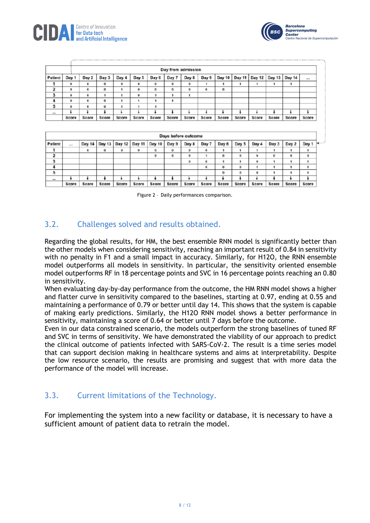



**Supercomputing** 

tcional de Supercomputació

Center

|         | Days before outcome |        |        |        |            |        |       |       |       |       |       |          |       |         |       |              |
|---------|---------------------|--------|--------|--------|------------|--------|-------|-------|-------|-------|-------|----------|-------|---------|-------|--------------|
| Patient | -                   | Day 14 | Day 13 | Day 12 | Day 11     | Day 10 | Day 9 | Day 8 | Day 7 | Day 6 | Day 5 | Day 4    | Day 3 | Day 2   | Day 1 | <b>March</b> |
|         |                     | ۰      | o      | o      | $^{\circ}$ | o      | o     | o     |       |       |       |          |       |         |       |              |
| 2       |                     |        |        |        |            | ٥      | ٥     | ٥     |       | ٥     | ٥     |          | Ō     | $\circ$ | o     |              |
| 3       |                     |        |        |        |            |        |       | o     |       |       |       | $\alpha$ |       |         |       |              |
|         |                     |        |        |        |            |        |       |       |       | o     | ٥     |          |       |         |       |              |
| 5       |                     |        |        |        |            |        |       |       |       | o     | o     | n        |       |         |       |              |
| $-100$  |                     |        |        |        |            |        |       |       |       |       |       |          |       |         |       |              |
|         | Score               | Score  | Score  | Score  | Score      | Score  | Score | Score | Score | Score | Score | Score    | Score | Score   | Score |              |

Figure 2 – Daily performances comparison.

#### 3.2. Challenges solved and results obtained.

Regarding the global results, for HM, the best ensemble RNN model is significantly better than the other models when considering sensitivity, reaching an important result of 0.84 in sensitivity with no penalty in F1 and a small impact in accuracy. Similarly, for H12O, the RNN ensemble model outperforms all models in sensitivity. In particular, the sensitivity oriented ensemble model outperforms RF in 18 percentage points and SVC in 16 percentage points reaching an 0.80 in sensitivity.

When evaluating day-by-day performance from the outcome, the HM RNN model shows a higher and flatter curve in sensitivity compared to the baselines, starting at 0.97, ending at 0.55 and maintaining a performance of 0.79 or better until day 14. This shows that the system is capable of making early predictions. Similarly, the H12O RNN model shows a better performance in sensitivity, maintaining a score of 0.64 or better until 7 days before the outcome.

Even in our data constrained scenario, the models outperform the strong baselines of tuned RF and SVC in terms of sensitivity. We have demonstrated the viability of our approach to predict the clinical outcome of patients infected with SARS-CoV-2. The result is a time series model that can support decision making in healthcare systems and aims at interpretability. Despite the low resource scenario, the results are promising and suggest that with more data the performance of the model will increase.

#### 3.3. Current limitations of the Technology.

For implementing the system into a new facility or database, it is necessary to have a sufficient amount of patient data to retrain the model.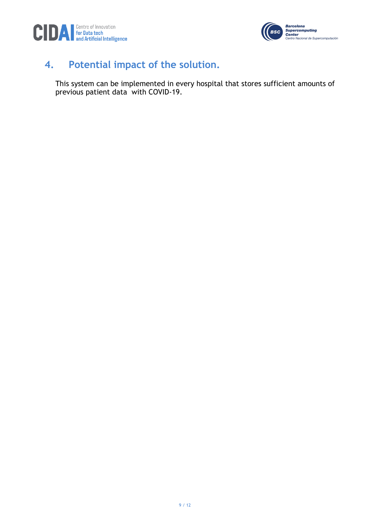



# **4. Potential impact of the solution.**

This system can be implemented in every hospital that stores sufficient amounts of previous patient data with COVID-19.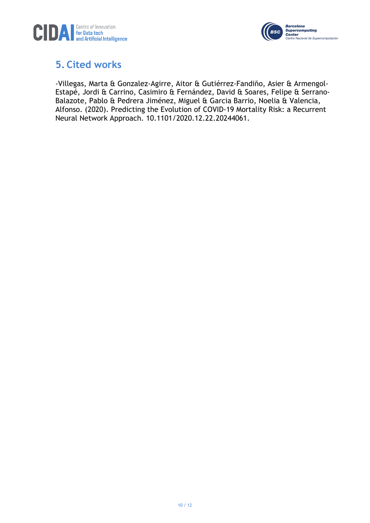



### **5. Cited works**

-Villegas, Marta & Gonzalez-Agirre, Aitor & Gutiérrez-Fandiño, Asier & Armengol-Estapé, Jordi & Carrino, Casimiro & Fernández, David & Soares, Felipe & Serrano-Balazote, Pablo & Pedrera Jiménez, Miguel & Garcia Barrio, Noelia & Valencia, Alfonso. (2020). Predicting the Evolution of COVID-19 Mortality Risk: a Recurrent Neural Network Approach. 10.1101/2020.12.22.20244061.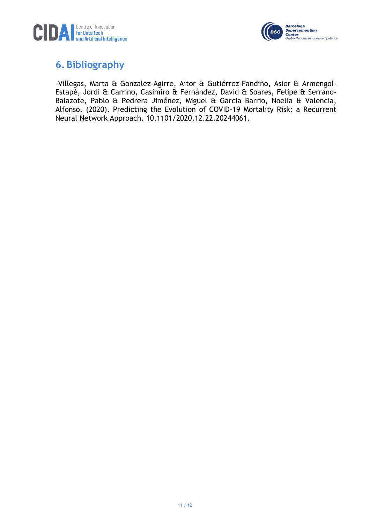



### **6. Bibliography**

-Villegas, Marta & Gonzalez-Agirre, Aitor & Gutiérrez-Fandiño, Asier & Armengol-Estapé, Jordi & Carrino, Casimiro & Fernández, David & Soares, Felipe & Serrano-Balazote, Pablo & Pedrera Jiménez, Miguel & Garcia Barrio, Noelia & Valencia, Alfonso. (2020). Predicting the Evolution of COVID-19 Mortality Risk: a Recurrent Neural Network Approach. 10.1101/2020.12.22.20244061.